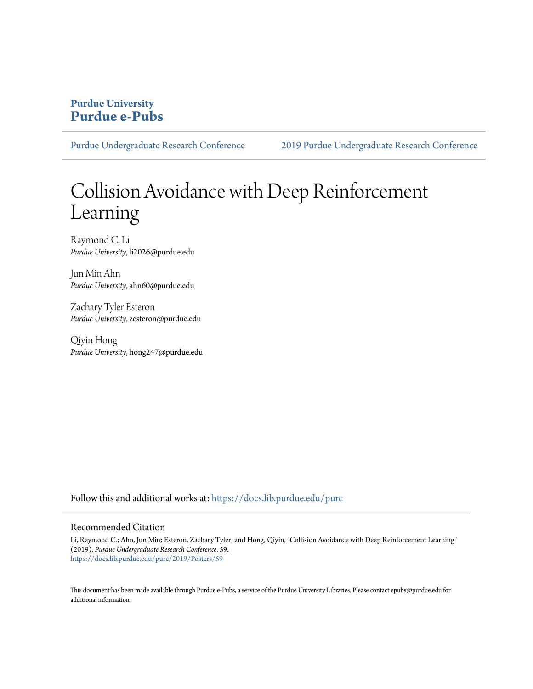## **Purdue University [Purdue e-Pubs](https://docs.lib.purdue.edu/?utm_source=docs.lib.purdue.edu%2Fpurc%2F2019%2FPosters%2F59&utm_medium=PDF&utm_campaign=PDFCoverPages)**

[Purdue Undergraduate Research Conference](https://docs.lib.purdue.edu/purc?utm_source=docs.lib.purdue.edu%2Fpurc%2F2019%2FPosters%2F59&utm_medium=PDF&utm_campaign=PDFCoverPages) [2019 Purdue Undergraduate Research Conference](https://docs.lib.purdue.edu/purc/2019?utm_source=docs.lib.purdue.edu%2Fpurc%2F2019%2FPosters%2F59&utm_medium=PDF&utm_campaign=PDFCoverPages)

# Collision Avoidance with Deep Reinforcement Learning

Raymond C. Li *Purdue University*, li2026@purdue.edu

Jun Min Ahn *Purdue University*, ahn60@purdue.edu

Zachary Tyler Esteron *Purdue University*, zesteron@purdue.edu

Qiyin Hong *Purdue University*, hong247@purdue.edu

Follow this and additional works at: [https://docs.lib.purdue.edu/purc](https://docs.lib.purdue.edu/purc?utm_source=docs.lib.purdue.edu%2Fpurc%2F2019%2FPosters%2F59&utm_medium=PDF&utm_campaign=PDFCoverPages)

#### Recommended Citation

Li, Raymond C.; Ahn, Jun Min; Esteron, Zachary Tyler; and Hong, Qiyin, "Collision Avoidance with Deep Reinforcement Learning" (2019). *Purdue Undergraduate Research Conference*. 59. [https://docs.lib.purdue.edu/purc/2019/Posters/59](https://docs.lib.purdue.edu/purc/2019/Posters/59?utm_source=docs.lib.purdue.edu%2Fpurc%2F2019%2FPosters%2F59&utm_medium=PDF&utm_campaign=PDFCoverPages)

This document has been made available through Purdue e-Pubs, a service of the Purdue University Libraries. Please contact epubs@purdue.edu for additional information.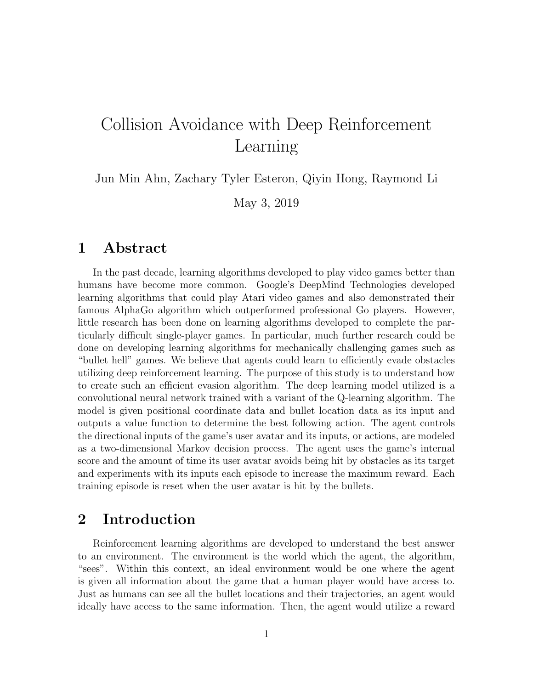## Collision Avoidance with Deep Reinforcement Learning

Jun Min Ahn, Zachary Tyler Esteron, Qiyin Hong, Raymond Li

May 3, 2019

## 1 Abstract

In the past decade, learning algorithms developed to play video games better than humans have become more common. Google's DeepMind Technologies developed learning algorithms that could play Atari video games and also demonstrated their famous AlphaGo algorithm which outperformed professional Go players. However, little research has been done on learning algorithms developed to complete the particularly difficult single-player games. In particular, much further research could be done on developing learning algorithms for mechanically challenging games such as "bullet hell" games. We believe that agents could learn to efficiently evade obstacles utilizing deep reinforcement learning. The purpose of this study is to understand how to create such an efficient evasion algorithm. The deep learning model utilized is a convolutional neural network trained with a variant of the Q-learning algorithm. The model is given positional coordinate data and bullet location data as its input and outputs a value function to determine the best following action. The agent controls the directional inputs of the game's user avatar and its inputs, or actions, are modeled as a two-dimensional Markov decision process. The agent uses the game's internal score and the amount of time its user avatar avoids being hit by obstacles as its target and experiments with its inputs each episode to increase the maximum reward. Each training episode is reset when the user avatar is hit by the bullets.

## 2 Introduction

Reinforcement learning algorithms are developed to understand the best answer to an environment. The environment is the world which the agent, the algorithm, "sees". Within this context, an ideal environment would be one where the agent is given all information about the game that a human player would have access to. Just as humans can see all the bullet locations and their trajectories, an agent would ideally have access to the same information. Then, the agent would utilize a reward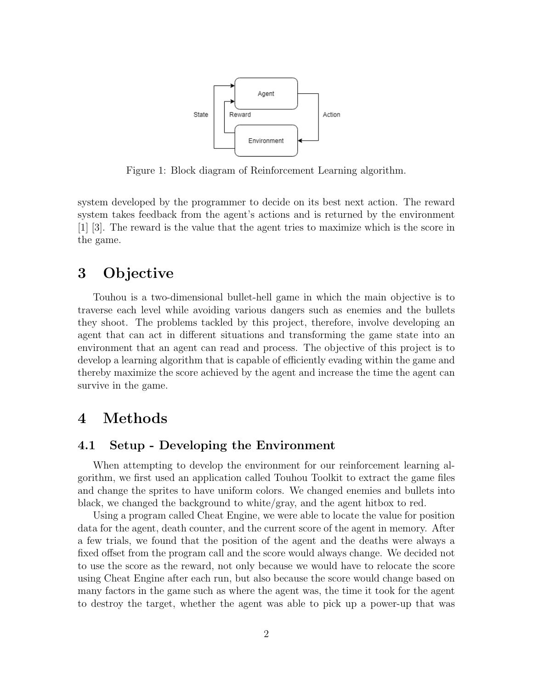

Figure 1: Block diagram of Reinforcement Learning algorithm.

system developed by the programmer to decide on its best next action. The reward system takes feedback from the agent's actions and is returned by the environment [1] [3]. The reward is the value that the agent tries to maximize which is the score in the game.

## 3 Objective

Touhou is a two-dimensional bullet-hell game in which the main objective is to traverse each level while avoiding various dangers such as enemies and the bullets they shoot. The problems tackled by this project, therefore, involve developing an agent that can act in different situations and transforming the game state into an environment that an agent can read and process. The objective of this project is to develop a learning algorithm that is capable of efficiently evading within the game and thereby maximize the score achieved by the agent and increase the time the agent can survive in the game.

## 4 Methods

#### 4.1 Setup - Developing the Environment

When attempting to develop the environment for our reinforcement learning algorithm, we first used an application called Touhou Toolkit to extract the game files and change the sprites to have uniform colors. We changed enemies and bullets into black, we changed the background to white/gray, and the agent hitbox to red.

Using a program called Cheat Engine, we were able to locate the value for position data for the agent, death counter, and the current score of the agent in memory. After a few trials, we found that the position of the agent and the deaths were always a fixed offset from the program call and the score would always change. We decided not to use the score as the reward, not only because we would have to relocate the score using Cheat Engine after each run, but also because the score would change based on many factors in the game such as where the agent was, the time it took for the agent to destroy the target, whether the agent was able to pick up a power-up that was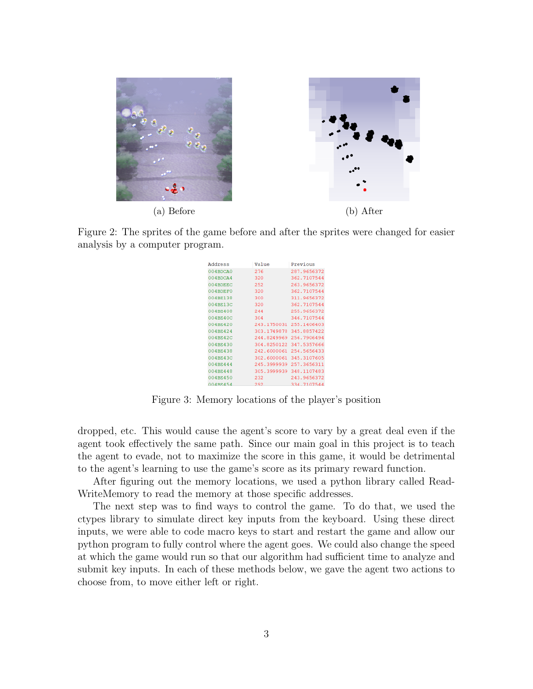

Figure 2: The sprites of the game before and after the sprites were changed for easier analysis by a computer program.

| Address     | Value       | Previous    |
|-------------|-------------|-------------|
| 004BDCA0    | 276         | 287.9656372 |
| $004$ BDCA4 | 320         | 362.7107544 |
| 004BDEEC    | 252         | 263.9656372 |
| 004BDEF0    | 320         | 362.7107544 |
| 004BE138    | 300         | 311.9656372 |
| 004BE13C    | 320         | 362.7107544 |
| 004BE408    | 244         | 255.9656372 |
| 004BE40C    | 304         | 346.7107544 |
| 004BE420    | 243.1750031 | 255.1406403 |
| 004BE424    | 303.1749878 | 345.8857422 |
| 004BE42C    | 244.8249969 | 256.7906494 |
| 004BE430    | 304.8250122 | 347.5357666 |
| 004BE438    | 242.6000061 | 254.5656433 |
| 004BE43C    | 302.6000061 | 345.3107605 |
| 004BE444    | 245.3999939 | 257.3656311 |
| 004BE448    | 305.3999939 | 348.1107483 |
| 004BE450    | 232         | 243.9656372 |
| 004BE454    | 292         | 334.7107544 |

Figure 3: Memory locations of the player's position

dropped, etc. This would cause the agent's score to vary by a great deal even if the agent took effectively the same path. Since our main goal in this project is to teach the agent to evade, not to maximize the score in this game, it would be detrimental to the agent's learning to use the game's score as its primary reward function.

After figuring out the memory locations, we used a python library called Read-WriteMemory to read the memory at those specific addresses.

The next step was to find ways to control the game. To do that, we used the ctypes library to simulate direct key inputs from the keyboard. Using these direct inputs, we were able to code macro keys to start and restart the game and allow our python program to fully control where the agent goes. We could also change the speed at which the game would run so that our algorithm had sufficient time to analyze and submit key inputs. In each of these methods below, we gave the agent two actions to choose from, to move either left or right.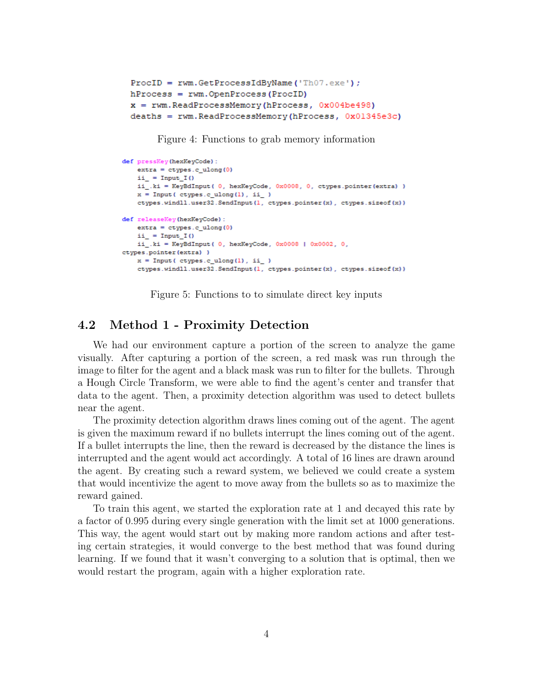```
ProofD = rwm.GetProcessIdByName('Th07.exe');hProcess = rwm. OpenProcess (ProcID)x = rwm.ReadProcessMemory(hProcess, 0x004be498)
deaths = rwm.ReadProcessMemory(hProcess, 0x01345e3c)
```
Figure 4: Functions to grab memory information

```
def pressKey(hexKeyCode):
   extra = cypes.c ulong(0)ii_ = Input_I()
   ii .ki = KeyBdInput( 0, hexKeyCode, 0x0008, 0, ctypes.pointer(extra) )
   x = Input(ctypes.c\_ulong(1), ii_ )ctypes.windll.user32.SendInput(1, ctypes.pointer(x), ctypes.sizeof(x))
def releaseKey(hexKeyCode):
   extra = ctypes.c\_ulong(0)ii_ = Input_I()
   ii_.ki = KeyBdInput(0, hexKeyCode, 0x0008 | 0x0002, 0,
ctypes.pointer(extra))
   x = Input(ctypes.culong(1), ii)ctypes.windll.user32.SendInput(1, ctypes.pointer(x), ctypes.sizeof(x))
```
Figure 5: Functions to to simulate direct key inputs

#### 4.2 Method 1 - Proximity Detection

We had our environment capture a portion of the screen to analyze the game visually. After capturing a portion of the screen, a red mask was run through the image to filter for the agent and a black mask was run to filter for the bullets. Through a Hough Circle Transform, we were able to find the agent's center and transfer that data to the agent. Then, a proximity detection algorithm was used to detect bullets near the agent.

The proximity detection algorithm draws lines coming out of the agent. The agent is given the maximum reward if no bullets interrupt the lines coming out of the agent. If a bullet interrupts the line, then the reward is decreased by the distance the lines is interrupted and the agent would act accordingly. A total of 16 lines are drawn around the agent. By creating such a reward system, we believed we could create a system that would incentivize the agent to move away from the bullets so as to maximize the reward gained.

To train this agent, we started the exploration rate at 1 and decayed this rate by a factor of 0.995 during every single generation with the limit set at 1000 generations. This way, the agent would start out by making more random actions and after testing certain strategies, it would converge to the best method that was found during learning. If we found that it wasn't converging to a solution that is optimal, then we would restart the program, again with a higher exploration rate.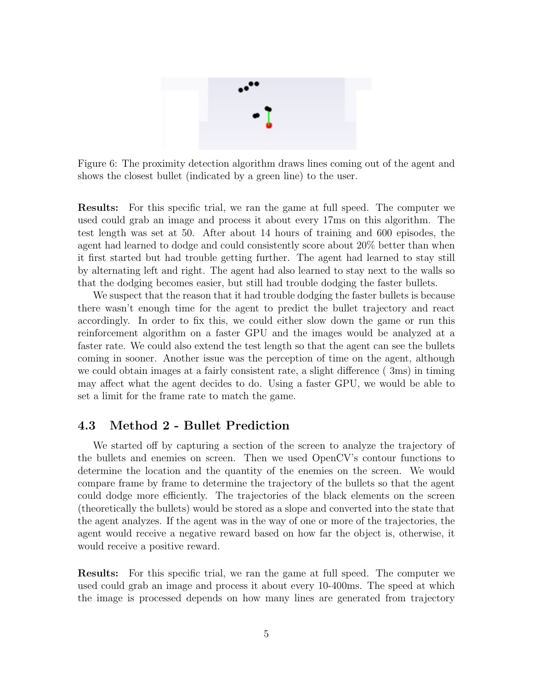

Figure 6: The proximity detection algorithm draws lines coming out of the agent and shows the closest bullet (indicated by a green line) to the user.

Results: For this specific trial, we ran the game at full speed. The computer we used could grab an image and process it about every 17ms on this algorithm. The test length was set at 50. After about 14 hours of training and 600 episodes, the agent had learned to dodge and could consistently score about 20% better than when it first started but had trouble getting further. The agent had learned to stay still by alternating left and right. The agent had also learned to stay next to the walls so that the dodging becomes easier, but still had trouble dodging the faster bullets.

We suspect that the reason that it had trouble dodging the faster bullets is because there wasn't enough time for the agent to predict the bullet trajectory and react accordingly. In order to fix this, we could either slow down the game or run this reinforcement algorithm on a faster GPU and the images would be analyzed at a faster rate. We could also extend the test length so that the agent can see the bullets coming in sooner. Another issue was the perception of time on the agent, although we could obtain images at a fairly consistent rate, a slight difference ( 3ms) in timing may affect what the agent decides to do. Using a faster GPU, we would be able to set a limit for the frame rate to match the game.

#### 4.3 Method 2 - Bullet Prediction

We started off by capturing a section of the screen to analyze the trajectory of the bullets and enemies on screen. Then we used OpenCV's contour functions to determine the location and the quantity of the enemies on the screen. We would compare frame by frame to determine the trajectory of the bullets so that the agent could dodge more efficiently. The trajectories of the black elements on the screen (theoretically the bullets) would be stored as a slope and converted into the state that the agent analyzes. If the agent was in the way of one or more of the trajectories, the agent would receive a negative reward based on how far the object is, otherwise, it would receive a positive reward.

Results: For this specific trial, we ran the game at full speed. The computer we used could grab an image and process it about every 10-400ms. The speed at which the image is processed depends on how many lines are generated from trajectory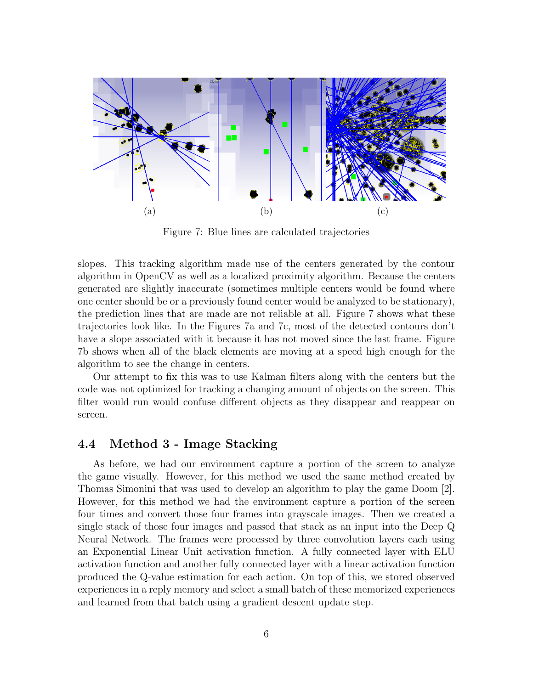

Figure 7: Blue lines are calculated trajectories

slopes. This tracking algorithm made use of the centers generated by the contour algorithm in OpenCV as well as a localized proximity algorithm. Because the centers generated are slightly inaccurate (sometimes multiple centers would be found where one center should be or a previously found center would be analyzed to be stationary), the prediction lines that are made are not reliable at all. Figure 7 shows what these trajectories look like. In the Figures 7a and 7c, most of the detected contours don't have a slope associated with it because it has not moved since the last frame. Figure 7b shows when all of the black elements are moving at a speed high enough for the algorithm to see the change in centers.

Our attempt to fix this was to use Kalman filters along with the centers but the code was not optimized for tracking a changing amount of objects on the screen. This filter would run would confuse different objects as they disappear and reappear on screen.

#### 4.4 Method 3 - Image Stacking

As before, we had our environment capture a portion of the screen to analyze the game visually. However, for this method we used the same method created by Thomas Simonini that was used to develop an algorithm to play the game Doom [2]. However, for this method we had the environment capture a portion of the screen four times and convert those four frames into grayscale images. Then we created a single stack of those four images and passed that stack as an input into the Deep Q Neural Network. The frames were processed by three convolution layers each using an Exponential Linear Unit activation function. A fully connected layer with ELU activation function and another fully connected layer with a linear activation function produced the Q-value estimation for each action. On top of this, we stored observed experiences in a reply memory and select a small batch of these memorized experiences and learned from that batch using a gradient descent update step.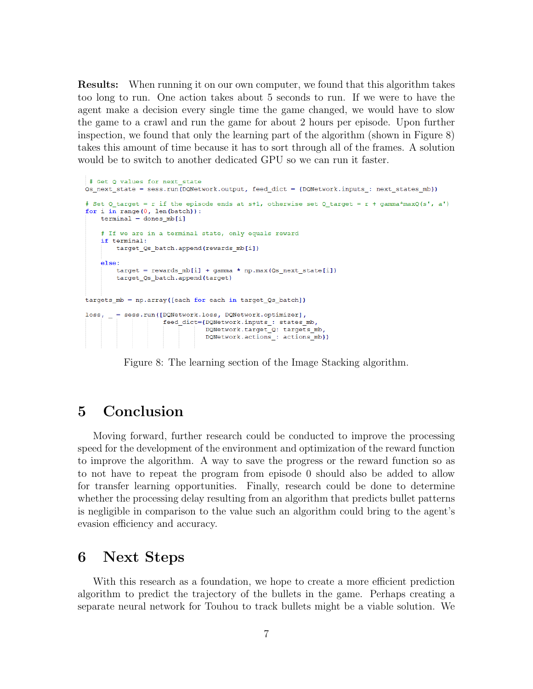Results: When running it on our own computer, we found that this algorithm takes too long to run. One action takes about 5 seconds to run. If we were to have the agent make a decision every single time the game changed, we would have to slow the game to a crawl and run the game for about 2 hours per episode. Upon further inspection, we found that only the learning part of the algorithm (shown in Figure 8) takes this amount of time because it has to sort through all of the frames. A solution would be to switch to another dedicated GPU so we can run it faster.

```
# Get O values for next state
Qs next state = sess.run(DQNetwork.output, feed dict = {DQNetwork.inputs : next states mb})
# Set Q target = r if the episode ends at s+1, otherwise set Q target = r + gamma*maxQ(s', a')
for i in range (0, len(batch)):
   terminal = dones mb[i]# If we are in a terminal state, only equals reward
    if terminal:
       target Qs batch.append(rewards mb[i])
   else:target = rewards_mb[i] + gamma * np.max(0s_next_state[i])
       target_Qs_batch.append(target)
targets mb = np.array([each for each in target Qs batch])loss, = sess.run([DQNetwork.loss, DQNetwork.optimizer],
                    feed_dict={DQNetwork.inputs_: states_mb,
                              DONetwork.target Q: targets mb,
                              DONetwork.actions_: actions_mb})
```
Figure 8: The learning section of the Image Stacking algorithm.

## 5 Conclusion

Moving forward, further research could be conducted to improve the processing speed for the development of the environment and optimization of the reward function to improve the algorithm. A way to save the progress or the reward function so as to not have to repeat the program from episode 0 should also be added to allow for transfer learning opportunities. Finally, research could be done to determine whether the processing delay resulting from an algorithm that predicts bullet patterns is negligible in comparison to the value such an algorithm could bring to the agent's evasion efficiency and accuracy.

## 6 Next Steps

With this research as a foundation, we hope to create a more efficient prediction algorithm to predict the trajectory of the bullets in the game. Perhaps creating a separate neural network for Touhou to track bullets might be a viable solution. We